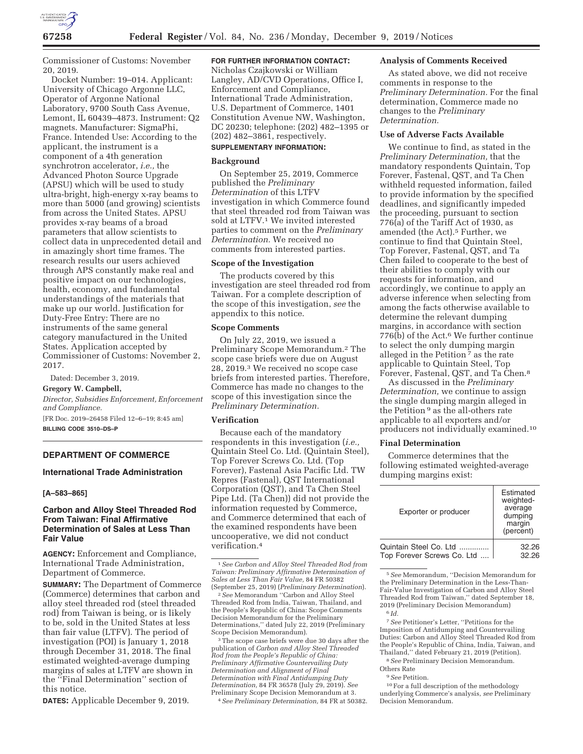

Commissioner of Customs: November 20, 2019.

Docket Number: 19–014. Applicant: University of Chicago Argonne LLC, Operator of Argonne National Laboratory, 9700 South Cass Avenue, Lemont, IL 60439–4873. Instrument: Q2 magnets. Manufacturer: SigmaPhi, France. Intended Use: According to the applicant, the instrument is a component of a 4th generation synchrotron accelerator, *i.e.,* the Advanced Photon Source Upgrade (APSU) which will be used to study ultra-bright, high-energy x-ray beams to more than 5000 (and growing) scientists from across the United States. APSU provides x-ray beams of a broad parameters that allow scientists to collect data in unprecedented detail and in amazingly short time frames. The research results our users achieved through APS constantly make real and positive impact on our technologies, health, economy, and fundamental understandings of the materials that make up our world. Justification for Duty-Free Entry: There are no instruments of the same general category manufactured in the United States. Application accepted by Commissioner of Customs: November 2, 2017.

Dated: December 3, 2019.

#### **Gregory W. Campbell,**

*Director, Subsidies Enforcement, Enforcement and Compliance.* 

[FR Doc. 2019–26458 Filed 12–6–19; 8:45 am] **BILLING CODE 3510–DS–P** 

#### **DEPARTMENT OF COMMERCE**

#### **International Trade Administration**

#### **[A–583–865]**

### **Carbon and Alloy Steel Threaded Rod From Taiwan: Final Affirmative Determination of Sales at Less Than Fair Value**

**AGENCY:** Enforcement and Compliance, International Trade Administration, Department of Commerce.

**SUMMARY:** The Department of Commerce (Commerce) determines that carbon and alloy steel threaded rod (steel threaded rod) from Taiwan is being, or is likely to be, sold in the United States at less than fair value (LTFV). The period of investigation (POI) is January 1, 2018 through December 31, 2018. The final estimated weighted-average dumping margins of sales at LTFV are shown in the ''Final Determination'' section of this notice.

**DATES:** Applicable December 9, 2019.

# **FOR FURTHER INFORMATION CONTACT:**

Nicholas Czajkowski or William Langley, AD/CVD Operations, Office I, Enforcement and Compliance, International Trade Administration, U.S. Department of Commerce, 1401 Constitution Avenue NW, Washington, DC 20230; telephone: (202) 482–1395 or (202) 482–3861, respectively.

# **SUPPLEMENTARY INFORMATION:**

#### **Background**

On September 25, 2019, Commerce published the *Preliminary Determination* of this LTFV investigation in which Commerce found that steel threaded rod from Taiwan was sold at LTFV.1 We invited interested parties to comment on the *Preliminary Determination.* We received no comments from interested parties.

#### **Scope of the Investigation**

The products covered by this investigation are steel threaded rod from Taiwan. For a complete description of the scope of this investigation, *see* the appendix to this notice.

#### **Scope Comments**

On July 22, 2019, we issued a Preliminary Scope Memorandum.2 The scope case briefs were due on August 28, 2019.3 We received no scope case briefs from interested parties. Therefore, Commerce has made no changes to the scope of this investigation since the *Preliminary Determination.* 

#### **Verification**

Because each of the mandatory respondents in this investigation (*i.e.,*  Quintain Steel Co. Ltd. (Quintain Steel), Top Forever Screws Co. Ltd. (Top Forever), Fastenal Asia Pacific Ltd. TW Repres (Fastenal), QST International Corporation (QST), and Ta Chen Steel Pipe Ltd. (Ta Chen)) did not provide the information requested by Commerce, and Commerce determined that each of the examined respondents have been uncooperative, we did not conduct verification.4

<sup>2</sup> See Memorandum "Carbon and Alloy Steel Threaded Rod from India, Taiwan, Thailand, and the People's Republic of China: Scope Comments Decision Memorandum for the Preliminary Determinations,'' dated July 22, 2019 (Preliminary

<sup>3</sup>The scope case briefs were due 30 days after the publication of *Carbon and Alloy Steel Threaded Rod from the People's Republic of China: Preliminary Affirmative Countervailing Duty Determination and Alignment of Final Determination with Final Antidumping Duty Determination,* 84 FR 36578 (July 29, 2019). *See*  Preliminary Scope Decision Memorandum at 3.

4*See Preliminary Determination,* 84 FR at 50382.

#### **Analysis of Comments Received**

As stated above, we did not receive comments in response to the *Preliminary Determination.* For the final determination, Commerce made no changes to the *Preliminary Determination.* 

#### **Use of Adverse Facts Available**

We continue to find, as stated in the *Preliminary Determination,* that the mandatory respondents Quintain, Top Forever, Fastenal, QST, and Ta Chen withheld requested information, failed to provide information by the specified deadlines, and significantly impeded the proceeding, pursuant to section 776(a) of the Tariff Act of 1930, as amended (the Act).<sup>5</sup> Further, we continue to find that Quintain Steel, Top Forever, Fastenal, QST, and Ta Chen failed to cooperate to the best of their abilities to comply with our requests for information, and accordingly, we continue to apply an adverse inference when selecting from among the facts otherwise available to determine the relevant dumping margins, in accordance with section 776(b) of the Act.<sup>6</sup> We further continue to select the only dumping margin alleged in the Petition  $\overline{7}$  as the rate applicable to Quintain Steel, Top Forever, Fastenal, QST, and Ta Chen.8

As discussed in the *Preliminary Determination,* we continue to assign the single dumping margin alleged in the Petition  $^9$  as the all-others rate applicable to all exporters and/or producers not individually examined.10

#### **Final Determination**

Commerce determines that the following estimated weighted-average dumping margins exist:

| Exporter or producer       | Estimated<br>weighted-<br>average<br>dumping<br>margin<br>(percent) |
|----------------------------|---------------------------------------------------------------------|
| Quintain Steel Co. Ltd     | 32.26                                                               |
| Top Forever Screws Co. Ltd | 32.26                                                               |

5*See* Memorandum, ''Decision Memorandum for the Preliminary Determination in the Less-Than-Fair-Value Investigation of Carbon and Alloy Steel Threaded Rod from Taiwan,'' dated September 18, 2019 (Preliminary Decision Memorandum)  $^6\,\mathrm{Id}.$ 

8*See* Preliminary Decision Memorandum. Others Rate

9*See* Petition.

10For a full description of the methodology underlying Commerce's analysis, *see* Preliminary Decision Memorandum.

<sup>1</sup>*See Carbon and Alloy Steel Threaded Rod from Taiwan: Preliminary Affirmative Determination of Sales at Less Than Fair Value,* 84 FR 50382

<sup>7</sup>*See* Petitioner's Letter, ''Petitions for the Imposition of Antidumping and Countervailing Duties: Carbon and Alloy Steel Threaded Rod from the People's Republic of China, India, Taiwan, and Thailand,'' dated February 21, 2019 (Petition).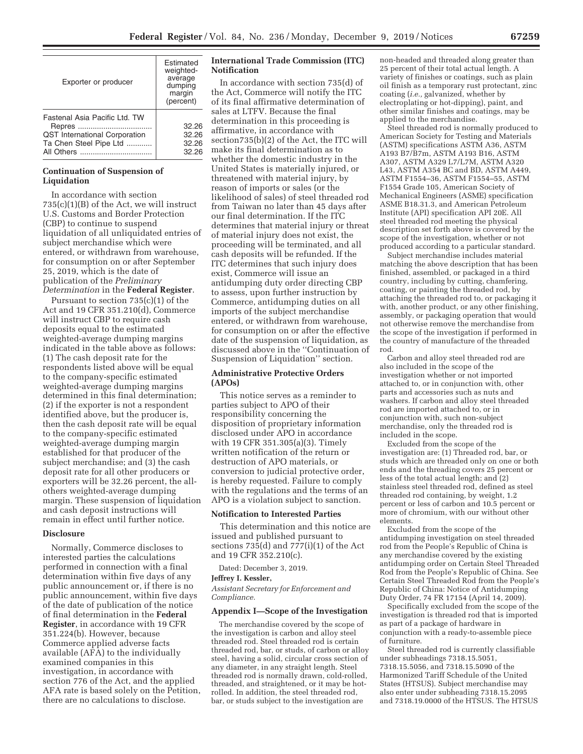| Exporter or producer                 | Estimated<br>weighted-<br>average<br>dumping<br>margin<br>(percent) |
|--------------------------------------|---------------------------------------------------------------------|
| Fastenal Asia Pacific Ltd. TW        | 32.26                                                               |
| <b>QST</b> International Corporation | 32.26                                                               |
| Ta Chen Steel Pipe Ltd               | 32.26                                                               |
|                                      | 32.26                                                               |

# **Continuation of Suspension of Liquidation**

In accordance with section 735(c)(1)(B) of the Act, we will instruct U.S. Customs and Border Protection (CBP) to continue to suspend liquidation of all unliquidated entries of subject merchandise which were entered, or withdrawn from warehouse, for consumption on or after September 25, 2019, which is the date of publication of the *Preliminary Determination* in the **Federal Register**.

Pursuant to section 735(c)(1) of the Act and 19 CFR 351.210(d), Commerce will instruct CBP to require cash deposits equal to the estimated weighted-average dumping margins indicated in the table above as follows: (1) The cash deposit rate for the respondents listed above will be equal to the company-specific estimated weighted-average dumping margins determined in this final determination; (2) if the exporter is not a respondent identified above, but the producer is, then the cash deposit rate will be equal to the company-specific estimated weighted-average dumping margin established for that producer of the subject merchandise; and (3) the cash deposit rate for all other producers or exporters will be 32.26 percent, the allothers weighted-average dumping margin. These suspension of liquidation and cash deposit instructions will remain in effect until further notice.

#### **Disclosure**

Normally, Commerce discloses to interested parties the calculations performed in connection with a final determination within five days of any public announcement or, if there is no public announcement, within five days of the date of publication of the notice of final determination in the **Federal Register**, in accordance with 19 CFR 351.224(b). However, because Commerce applied adverse facts available (AFA) to the individually examined companies in this investigation, in accordance with section 776 of the Act, and the applied AFA rate is based solely on the Petition, there are no calculations to disclose.

## **International Trade Commission (ITC) Notification**

In accordance with section 735(d) of the Act, Commerce will notify the ITC of its final affirmative determination of sales at LTFV. Because the final determination in this proceeding is affirmative, in accordance with section735(b)(2) of the Act, the ITC will make its final determination as to whether the domestic industry in the United States is materially injured, or threatened with material injury, by reason of imports or sales (or the likelihood of sales) of steel threaded rod from Taiwan no later than 45 days after our final determination. If the ITC determines that material injury or threat of material injury does not exist, the proceeding will be terminated, and all cash deposits will be refunded. If the ITC determines that such injury does exist, Commerce will issue an antidumping duty order directing CBP to assess, upon further instruction by Commerce, antidumping duties on all imports of the subject merchandise entered, or withdrawn from warehouse, for consumption on or after the effective date of the suspension of liquidation, as discussed above in the ''Continuation of Suspension of Liquidation'' section.

# **Administrative Protective Orders (APOs)**

This notice serves as a reminder to parties subject to APO of their responsibility concerning the disposition of proprietary information disclosed under APO in accordance with 19 CFR 351.305(a)(3). Timely written notification of the return or destruction of APO materials, or conversion to judicial protective order, is hereby requested. Failure to comply with the regulations and the terms of an APO is a violation subject to sanction.

#### **Notification to Interested Parties**

This determination and this notice are issued and published pursuant to sections 735(d) and 777(i)(1) of the Act and 19 CFR 352.210(c).

Dated: December 3, 2019.

#### **Jeffrey I. Kessler,**

*Assistant Secretary for Enforcement and Compliance.* 

#### **Appendix I—Scope of the Investigation**

The merchandise covered by the scope of the investigation is carbon and alloy steel threaded rod. Steel threaded rod is certain threaded rod, bar, or studs, of carbon or alloy steel, having a solid, circular cross section of any diameter, in any straight length. Steel threaded rod is normally drawn, cold-rolled, threaded, and straightened, or it may be hotrolled. In addition, the steel threaded rod, bar, or studs subject to the investigation are

non-headed and threaded along greater than 25 percent of their total actual length. A variety of finishes or coatings, such as plain oil finish as a temporary rust protectant, zinc coating (*i.e.,* galvanized, whether by electroplating or hot-dipping), paint, and other similar finishes and coatings, may be applied to the merchandise.

Steel threaded rod is normally produced to American Society for Testing and Materials (ASTM) specifications ASTM A36, ASTM A193 B7/B7m, ASTM A193 B16, ASTM A307, ASTM A329 L7/L7M, ASTM A320 L43, ASTM A354 BC and BD, ASTM A449, ASTM F1554–36, ASTM F1554–55, ASTM F1554 Grade 105, American Society of Mechanical Engineers (ASME) specification ASME B18.31.3, and American Petroleum Institute (API) specification API 20E. All steel threaded rod meeting the physical description set forth above is covered by the scope of the investigation, whether or not produced according to a particular standard.

Subject merchandise includes material matching the above description that has been finished, assembled, or packaged in a third country, including by cutting, chamfering, coating, or painting the threaded rod, by attaching the threaded rod to, or packaging it with, another product, or any other finishing, assembly, or packaging operation that would not otherwise remove the merchandise from the scope of the investigation if performed in the country of manufacture of the threaded rod.

Carbon and alloy steel threaded rod are also included in the scope of the investigation whether or not imported attached to, or in conjunction with, other parts and accessories such as nuts and washers. If carbon and alloy steel threaded rod are imported attached to, or in conjunction with, such non-subject merchandise, only the threaded rod is included in the scope.

Excluded from the scope of the investigation are: (1) Threaded rod, bar, or studs which are threaded only on one or both ends and the threading covers 25 percent or less of the total actual length; and  $(2)$ stainless steel threaded rod, defined as steel threaded rod containing, by weight, 1.2 percent or less of carbon and 10.5 percent or more of chromium, with our without other elements.

Excluded from the scope of the antidumping investigation on steel threaded rod from the People's Republic of China is any merchandise covered by the existing antidumping order on Certain Steel Threaded Rod from the People's Republic of China. See Certain Steel Threaded Rod from the People's Republic of China: Notice of Antidumping Duty Order, 74 FR 17154 (April 14, 2009).

Specifically excluded from the scope of the investigation is threaded rod that is imported as part of a package of hardware in conjunction with a ready-to-assemble piece of furniture.

Steel threaded rod is currently classifiable under subheadings 7318.15.5051, 7318.15.5056, and 7318.15.5090 of the Harmonized Tariff Schedule of the United States (HTSUS). Subject merchandise may also enter under subheading 7318.15.2095 and 7318.19.0000 of the HTSUS. The HTSUS